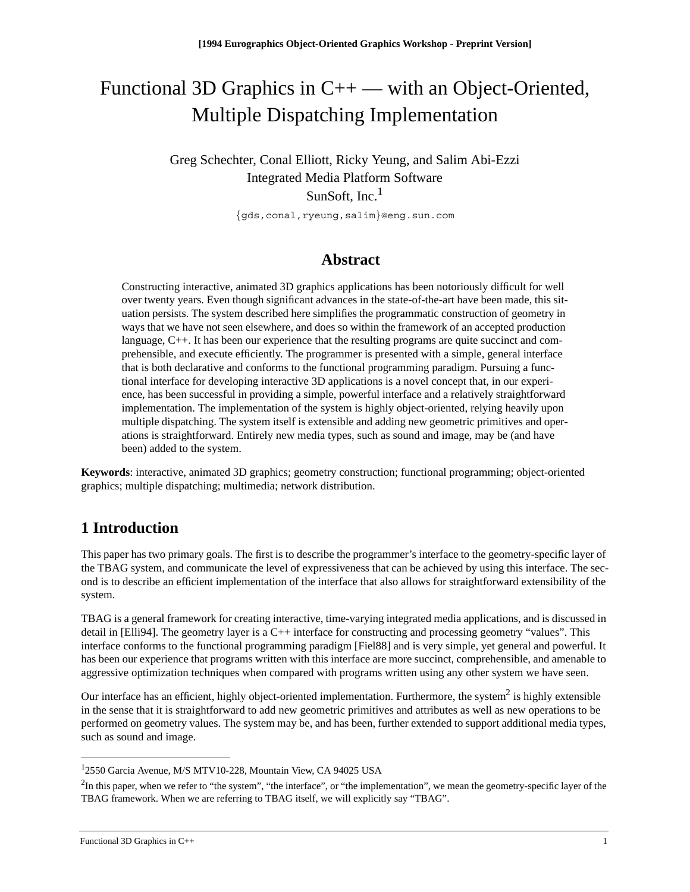# Functional 3D Graphics in C++ — with an Object-Oriented, Multiple Dispatching Implementation

Greg Schechter, Conal Elliott, Ricky Yeung, and Salim Abi-Ezzi Integrated Media Platform Software SunSoft, Inc. $<sup>1</sup>$ </sup>

{gds,conal,ryeung,salim}@eng.sun.com

# **Abstract**

Constructing interactive, animated 3D graphics applications has been notoriously difficult for well over twenty years. Even though significant advances in the state-of-the-art have been made, this situation persists. The system described here simplifies the programmatic construction of geometry in ways that we have not seen elsewhere, and does so within the framework of an accepted production language, C++. It has been our experience that the resulting programs are quite succinct and comprehensible, and execute efficiently. The programmer is presented with a simple, general interface that is both declarative and conforms to the functional programming paradigm. Pursuing a functional interface for developing interactive 3D applications is a novel concept that, in our experience, has been successful in providing a simple, powerful interface and a relatively straightforward implementation. The implementation of the system is highly object-oriented, relying heavily upon multiple dispatching. The system itself is extensible and adding new geometric primitives and operations is straightforward. Entirely new media types, such as sound and image, may be (and have been) added to the system.

**Keywords**: interactive, animated 3D graphics; geometry construction; functional programming; object-oriented graphics; multiple dispatching; multimedia; network distribution.

# **1 Introduction**

This paper has two primary goals. The first is to describe the programmer's interface to the geometry-specific layer of the TBAG system, and communicate the level of expressiveness that can be achieved by using this interface. The second is to describe an efficient implementation of the interface that also allows for straightforward extensibility of the system.

TBAG is a general framework for creating interactive, time-varying integrated media applications, and is discussed in detail in [Elli94]. The geometry layer is a C++ interface for constructing and processing geometry "values". This interface conforms to the functional programming paradigm [Fiel88] and is very simple, yet general and powerful. It has been our experience that programs written with this interface are more succinct, comprehensible, and amenable to aggressive optimization techniques when compared with programs written using any other system we have seen.

Our interface has an efficient, highly object-oriented implementation. Furthermore, the system<sup>2</sup> is highly extensible in the sense that it is straightforward to add new geometric primitives and attributes as well as new operations to be performed on geometry values. The system may be, and has been, further extended to support additional media types, such as sound and image.

<sup>&</sup>lt;sup>1</sup>2550 Garcia Avenue, M/S MTV10-228, Mountain View, CA 94025 USA

 $^{2}$ In this paper, when we refer to "the system", "the interface", or "the implementation", we mean the geometry-specific layer of the TBAG framework. When we are referring to TBAG itself, we will explicitly say "TBAG".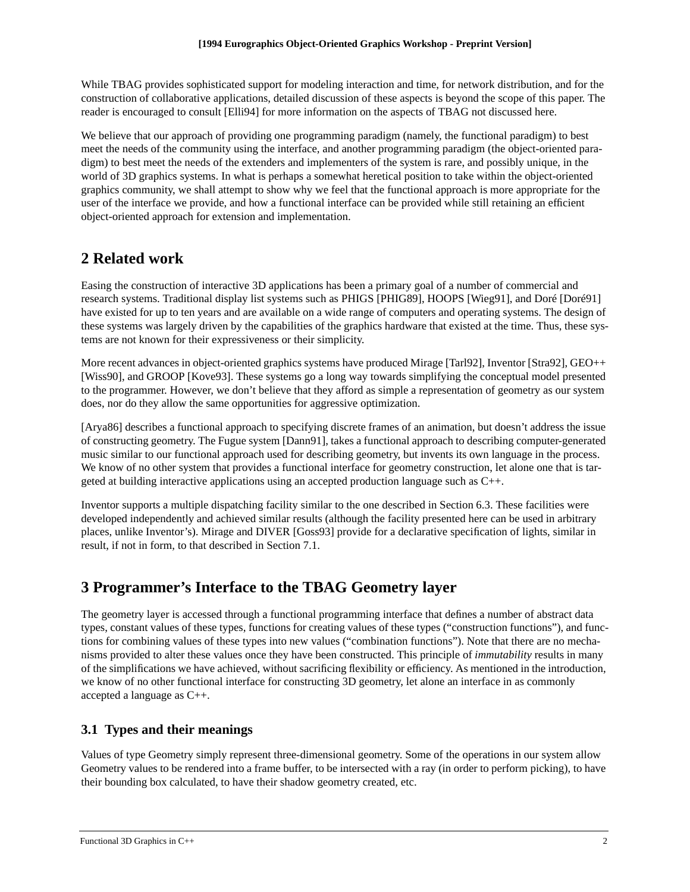While TBAG provides sophisticated support for modeling interaction and time, for network distribution, and for the construction of collaborative applications, detailed discussion of these aspects is beyond the scope of this paper. The reader is encouraged to consult [Elli94] for more information on the aspects of TBAG not discussed here.

We believe that our approach of providing one programming paradigm (namely, the functional paradigm) to best meet the needs of the community using the interface, and another programming paradigm (the object-oriented paradigm) to best meet the needs of the extenders and implementers of the system is rare, and possibly unique, in the world of 3D graphics systems. In what is perhaps a somewhat heretical position to take within the object-oriented graphics community, we shall attempt to show why we feel that the functional approach is more appropriate for the user of the interface we provide, and how a functional interface can be provided while still retaining an efficient object-oriented approach for extension and implementation.

# **2 Related work**

Easing the construction of interactive 3D applications has been a primary goal of a number of commercial and research systems. Traditional display list systems such as PHIGS [PHIG89], HOOPS [Wieg91], and Doré [Doré91] have existed for up to ten years and are available on a wide range of computers and operating systems. The design of these systems was largely driven by the capabilities of the graphics hardware that existed at the time. Thus, these systems are not known for their expressiveness or their simplicity.

More recent advances in object-oriented graphics systems have produced Mirage [Tarl92], Inventor [Stra92], GEO++ [Wiss90], and GROOP [Kove93]. These systems go a long way towards simplifying the conceptual model presented to the programmer. However, we don't believe that they afford as simple a representation of geometry as our system does, nor do they allow the same opportunities for aggressive optimization.

[Arya86] describes a functional approach to specifying discrete frames of an animation, but doesn't address the issue of constructing geometry. The Fugue system [Dann91], takes a functional approach to describing computer-generated music similar to our functional approach used for describing geometry, but invents its own language in the process. We know of no other system that provides a functional interface for geometry construction, let alone one that is targeted at building interactive applications using an accepted production language such as C++.

Inventor supports a multiple dispatching facility similar to the one described in Section 6.3. These facilities were developed independently and achieved similar results (although the facility presented here can be used in arbitrary places, unlike Inventor's). Mirage and DIVER [Goss93] provide for a declarative specification of lights, similar in result, if not in form, to that described in Section 7.1.

# **3 Programmer's Interface to the TBAG Geometry layer**

The geometry layer is accessed through a functional programming interface that defines a number of abstract data types, constant values of these types, functions for creating values of these types ("construction functions"), and functions for combining values of these types into new values ("combination functions"). Note that there are no mechanisms provided to alter these values once they have been constructed. This principle of *immutability* results in many of the simplifications we have achieved, without sacrificing flexibility or efficiency. As mentioned in the introduction, we know of no other functional interface for constructing 3D geometry, let alone an interface in as commonly accepted a language as C++.

#### **3.1 Types and their meanings**

Values of type Geometry simply represent three-dimensional geometry. Some of the operations in our system allow Geometry values to be rendered into a frame buffer, to be intersected with a ray (in order to perform picking), to have their bounding box calculated, to have their shadow geometry created, etc.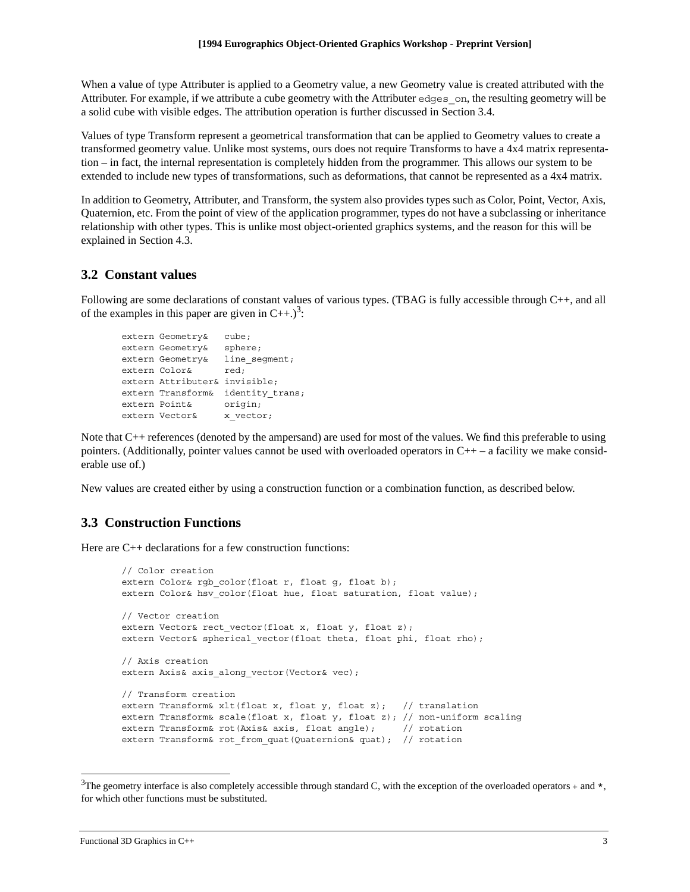When a value of type Attributer is applied to a Geometry value, a new Geometry value is created attributed with the Attributer. For example, if we attribute a cube geometry with the Attributer edges\_on, the resulting geometry will be a solid cube with visible edges. The attribution operation is further discussed in Section 3.4.

Values of type Transform represent a geometrical transformation that can be applied to Geometry values to create a transformed geometry value. Unlike most systems, ours does not require Transforms to have a 4x4 matrix representation – in fact, the internal representation is completely hidden from the programmer. This allows our system to be extended to include new types of transformations, such as deformations, that cannot be represented as a 4x4 matrix.

In addition to Geometry, Attributer, and Transform, the system also provides types such as Color, Point, Vector, Axis, Quaternion, etc. From the point of view of the application programmer, types do not have a subclassing or inheritance relationship with other types. This is unlike most object-oriented graphics systems, and the reason for this will be explained in Section 4.3.

#### **3.2 Constant values**

Following are some declarations of constant values of various types. (TBAG is fully accessible through C++, and all of the examples in this paper are given in  $C_{++}$ .)<sup>3</sup>:

```
extern Geometry& cube;
extern Geometry& sphere;
extern Geometry& line_segment;
extern Color& red;
extern Attributer& invisible;
extern Transform& identity trans;
extern Point& origin;
extern Vector& x vector;
```
Note that C++ references (denoted by the ampersand) are used for most of the values. We find this preferable to using pointers. (Additionally, pointer values cannot be used with overloaded operators in  $C_{++}$  – a facility we make considerable use of.)

New values are created either by using a construction function or a combination function, as described below.

#### **3.3 Construction Functions**

Here are C<sup>++</sup> declarations for a few construction functions:

```
// Color creation
extern Color& rgb color(float r, float g, float b);
extern Color& hsv_color(float hue, float saturation, float value);
// Vector creation
extern Vector& rect vector(float x, float y, float z);
extern Vector& spherical vector(float theta, float phi, float rho);
// Axis creation
extern Axis& axis along vector(Vector& vec);
// Transform creation
extern Transform& xlt(float x, float y, float z); // translation
extern Transform& scale(float x, float y, float z); // non-uniform scaling
extern Transform& rot(Axis& axis, float angle); // rotation
extern Transform& rot from quat(Quaternion& quat); // rotation
```
<sup>&</sup>lt;sup>3</sup>The geometry interface is also completely accessible through standard C, with the exception of the overloaded operators + and  $\star$ , for which other functions must be substituted.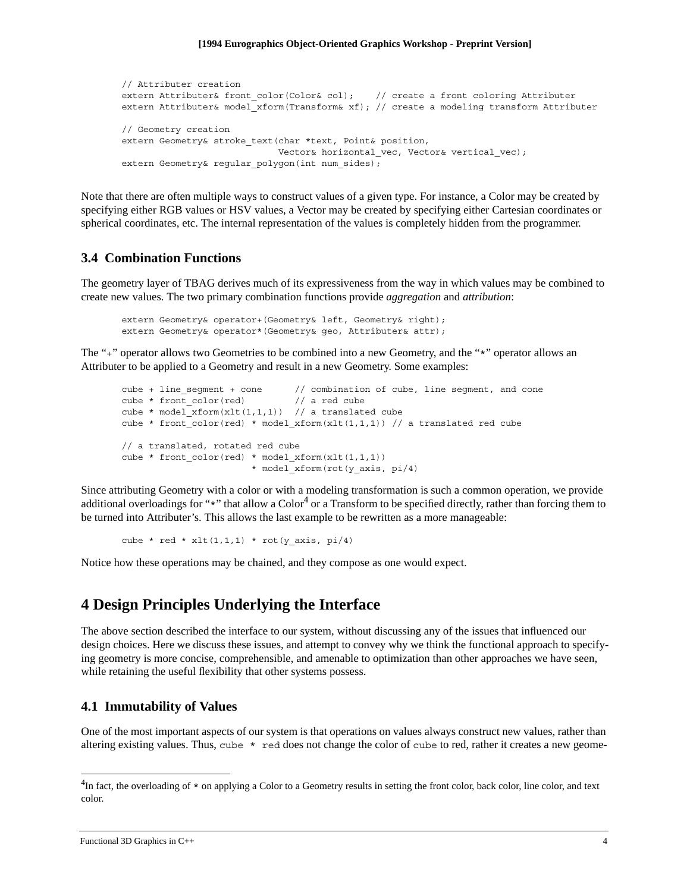```
// Attributer creation
extern Attributer& front_color(Color& col); // create a front coloring Attributer
extern Attributer& model_xform(Transform& xf); // create a modeling transform Attributer
// Geometry creation
extern Geometry& stroke_text(char *text, Point& position,
                            Vector& horizontal vec, Vector& vertical vec);
extern Geometry& regular polygon(int num sides);
```
Note that there are often multiple ways to construct values of a given type. For instance, a Color may be created by specifying either RGB values or HSV values, a Vector may be created by specifying either Cartesian coordinates or spherical coordinates, etc. The internal representation of the values is completely hidden from the programmer.

#### **3.4 Combination Functions**

The geometry layer of TBAG derives much of its expressiveness from the way in which values may be combined to create new values. The two primary combination functions provide *aggregation* and *attribution*:

```
extern Geometry& operator+(Geometry& left, Geometry& right);
extern Geometry& operator*(Geometry& geo, Attributer& attr);
```
The "+" operator allows two Geometries to be combined into a new Geometry, and the "\*" operator allows an Attributer to be applied to a Geometry and result in a new Geometry. Some examples:

```
cube + line segment + cone // combination of cube, line segment, and cone
cube * front color(red) // a red cube
cube * model xform(xlt(1,1,1)) // a translated cube
cube * front color(red) * model xform(xlt(1,1,1)) // a translated red cube
// a translated, rotated red cube
cube * front color(red) * model xform(xlt(1,1,1))
                       * model_xform(rot(y_axis, pi/4)
```
Since attributing Geometry with a color or with a modeling transformation is such a common operation, we provide additional overloadings for "\*" that allow a Color<sup>4</sup> or a Transform to be specified directly, rather than forcing them to be turned into Attributer's. This allows the last example to be rewritten as a more manageable:

cube \* red \* xlt $(1,1,1)$  \* rot(y axis, pi/4)

Notice how these operations may be chained, and they compose as one would expect.

#### **4 Design Principles Underlying the Interface**

The above section described the interface to our system, without discussing any of the issues that influenced our design choices. Here we discuss these issues, and attempt to convey why we think the functional approach to specifying geometry is more concise, comprehensible, and amenable to optimization than other approaches we have seen, while retaining the useful flexibility that other systems possess.

#### **4.1 Immutability of Values**

One of the most important aspects of our system is that operations on values always construct new values, rather than altering existing values. Thus, cube  $*$  red does not change the color of cube to red, rather it creates a new geome-

<sup>&</sup>lt;sup>4</sup>In fact, the overloading of \* on applying a Color to a Geometry results in setting the front color, back color, line color, and text color.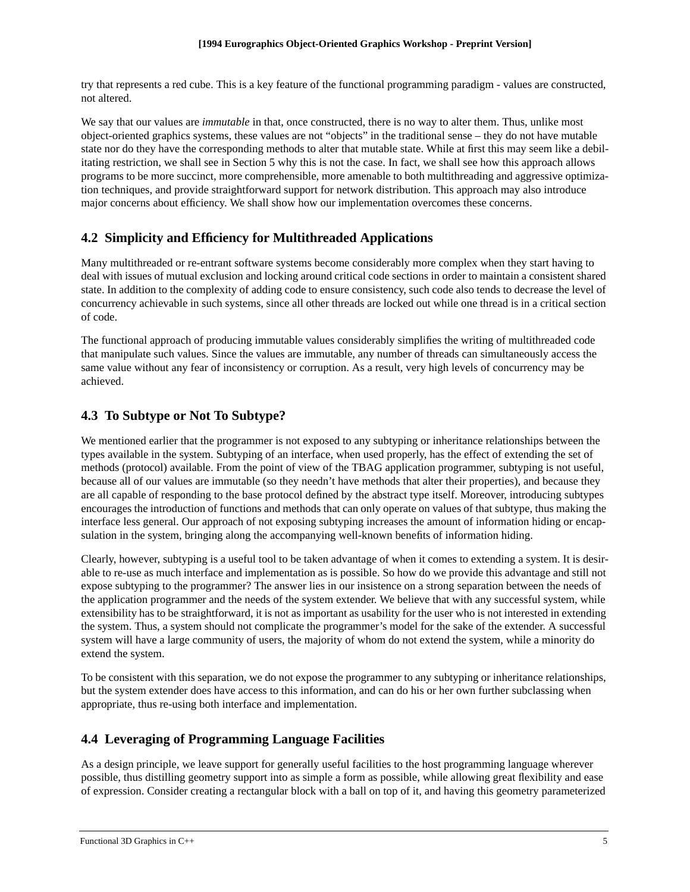try that represents a red cube. This is a key feature of the functional programming paradigm - values are constructed, not altered.

We say that our values are *immutable* in that, once constructed, there is no way to alter them. Thus, unlike most object-oriented graphics systems, these values are not "objects" in the traditional sense – they do not have mutable state nor do they have the corresponding methods to alter that mutable state. While at first this may seem like a debilitating restriction, we shall see in Section 5 why this is not the case. In fact, we shall see how this approach allows programs to be more succinct, more comprehensible, more amenable to both multithreading and aggressive optimization techniques, and provide straightforward support for network distribution. This approach may also introduce major concerns about efficiency. We shall show how our implementation overcomes these concerns.

#### **4.2 Simplicity and Efficiency for Multithreaded Applications**

Many multithreaded or re-entrant software systems become considerably more complex when they start having to deal with issues of mutual exclusion and locking around critical code sections in order to maintain a consistent shared state. In addition to the complexity of adding code to ensure consistency, such code also tends to decrease the level of concurrency achievable in such systems, since all other threads are locked out while one thread is in a critical section of code.

The functional approach of producing immutable values considerably simplifies the writing of multithreaded code that manipulate such values. Since the values are immutable, any number of threads can simultaneously access the same value without any fear of inconsistency or corruption. As a result, very high levels of concurrency may be achieved.

#### **4.3 To Subtype or Not To Subtype?**

We mentioned earlier that the programmer is not exposed to any subtyping or inheritance relationships between the types available in the system. Subtyping of an interface, when used properly, has the effect of extending the set of methods (protocol) available. From the point of view of the TBAG application programmer, subtyping is not useful, because all of our values are immutable (so they needn't have methods that alter their properties), and because they are all capable of responding to the base protocol defined by the abstract type itself. Moreover, introducing subtypes encourages the introduction of functions and methods that can only operate on values of that subtype, thus making the interface less general. Our approach of not exposing subtyping increases the amount of information hiding or encapsulation in the system, bringing along the accompanying well-known benefits of information hiding.

Clearly, however, subtyping is a useful tool to be taken advantage of when it comes to extending a system. It is desirable to re-use as much interface and implementation as is possible. So how do we provide this advantage and still not expose subtyping to the programmer? The answer lies in our insistence on a strong separation between the needs of the application programmer and the needs of the system extender. We believe that with any successful system, while extensibility has to be straightforward, it is not as important as usability for the user who is not interested in extending the system. Thus, a system should not complicate the programmer's model for the sake of the extender. A successful system will have a large community of users, the majority of whom do not extend the system, while a minority do extend the system.

To be consistent with this separation, we do not expose the programmer to any subtyping or inheritance relationships, but the system extender does have access to this information, and can do his or her own further subclassing when appropriate, thus re-using both interface and implementation.

#### **4.4 Leveraging of Programming Language Facilities**

As a design principle, we leave support for generally useful facilities to the host programming language wherever possible, thus distilling geometry support into as simple a form as possible, while allowing great flexibility and ease of expression. Consider creating a rectangular block with a ball on top of it, and having this geometry parameterized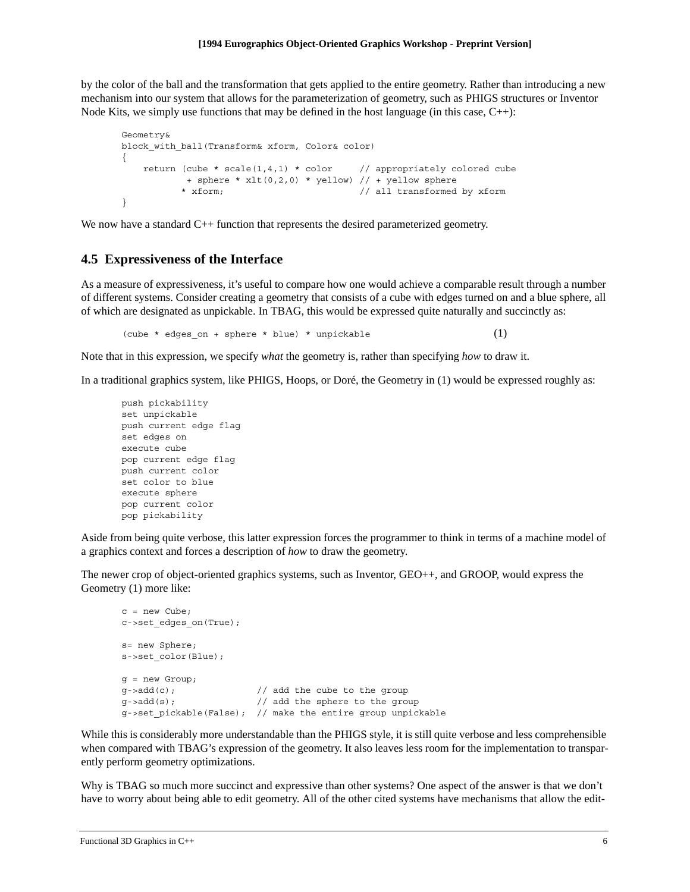by the color of the ball and the transformation that gets applied to the entire geometry. Rather than introducing a new mechanism into our system that allows for the parameterization of geometry, such as PHIGS structures or Inventor Node Kits, we simply use functions that may be defined in the host language (in this case,  $C_{++}$ ):

```
Geometry&
block_with_ball(Transform& xform, Color& color)
{
   return (cube * scale(1,4,1) * color // appropriately colored cube
         + sphere * xlt(0,2,0) * yellow) // + yellow sphere
         * xform; // all transformed by xform
}
```
We now have a standard  $C_{++}$  function that represents the desired parameterized geometry.

#### **4.5 Expressiveness of the Interface**

As a measure of expressiveness, it's useful to compare how one would achieve a comparable result through a number of different systems. Consider creating a geometry that consists of a cube with edges turned on and a blue sphere, all of which are designated as unpickable. In TBAG, this would be expressed quite naturally and succinctly as:

(cube  $*$  edges on + sphere  $*$  blue)  $*$  unpickable  $(1)$ 

Note that in this expression, we specify *what* the geometry is, rather than specifying *how* to draw it.

In a traditional graphics system, like PHIGS, Hoops, or Doré, the Geometry in (1) would be expressed roughly as:

```
push pickability
set unpickable
push current edge flag
set edges on
execute cube
pop current edge flag
push current color
set color to blue
execute sphere
pop current color
pop pickability
```
Aside from being quite verbose, this latter expression forces the programmer to think in terms of a machine model of a graphics context and forces a description of *how* to draw the geometry.

The newer crop of object-oriented graphics systems, such as Inventor, GEO++, and GROOP, would express the Geometry (1) more like:

```
c = new Cube;c->set_edges_on(True);
s= new Sphere;
s->set_color(Blue);
q = new Group;q->add(c); \frac{1}{q} add the cube to the group
g->add(s); // add the sphere to the group
g->set pickable(False); // make the entire group unpickable
```
While this is considerably more understandable than the PHIGS style, it is still quite verbose and less comprehensible when compared with TBAG's expression of the geometry. It also leaves less room for the implementation to transparently perform geometry optimizations.

Why is TBAG so much more succinct and expressive than other systems? One aspect of the answer is that we don't have to worry about being able to edit geometry. All of the other cited systems have mechanisms that allow the edit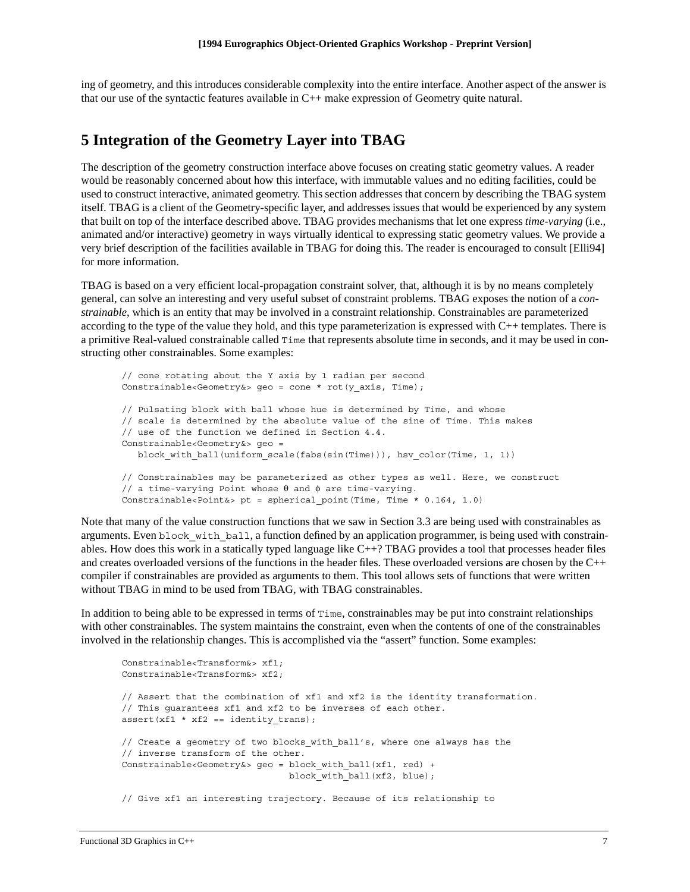ing of geometry, and this introduces considerable complexity into the entire interface. Another aspect of the answer is that our use of the syntactic features available in C++ make expression of Geometry quite natural.

#### **5 Integration of the Geometry Layer into TBAG**

The description of the geometry construction interface above focuses on creating static geometry values. A reader would be reasonably concerned about how this interface, with immutable values and no editing facilities, could be used to construct interactive, animated geometry. This section addresses that concern by describing the TBAG system itself. TBAG is a client of the Geometry-specific layer, and addresses issues that would be experienced by any system that built on top of the interface described above. TBAG provides mechanisms that let one express *time-varying* (i.e., animated and/or interactive) geometry in ways virtually identical to expressing static geometry values. We provide a very brief description of the facilities available in TBAG for doing this. The reader is encouraged to consult [Elli94] for more information.

TBAG is based on a very efficient local-propagation constraint solver, that, although it is by no means completely general, can solve an interesting and very useful subset of constraint problems. TBAG exposes the notion of a *constrainable*, which is an entity that may be involved in a constraint relationship. Constrainables are parameterized according to the type of the value they hold, and this type parameterization is expressed with C++ templates. There is a primitive Real-valued constrainable called Time that represents absolute time in seconds, and it may be used in constructing other constrainables. Some examples:

```
// cone rotating about the Y axis by 1 radian per second
Constrainable<Geometry&> geo = cone * rot(y_axis, Time);
// Pulsating block with ball whose hue is determined by Time, and whose
// scale is determined by the absolute value of the sine of Time. This makes
// use of the function we defined in Section 4.4.
Constrainable<Geometry&> geo =
  block with ball(uniform scale(fabs(sin(Time))), hsv color(Time, 1, 1))
// Constrainables may be parameterized as other types as well. Here, we construct
// a time-varying Point whose θ and φ are time-varying.
Constrainable<Point&> pt = spherical_point(Time, Time * 0.164, 1.0)
```
Note that many of the value construction functions that we saw in Section 3.3 are being used with constrainables as arguments. Even block with ball, a function defined by an application programmer, is being used with constrainables. How does this work in a statically typed language like C++? TBAG provides a tool that processes header files and creates overloaded versions of the functions in the header files. These overloaded versions are chosen by the C++ compiler if constrainables are provided as arguments to them. This tool allows sets of functions that were written without TBAG in mind to be used from TBAG, with TBAG constrainables.

In addition to being able to be expressed in terms of Time, constrainables may be put into constraint relationships with other constrainables. The system maintains the constraint, even when the contents of one of the constrainables involved in the relationship changes. This is accomplished via the "assert" function. Some examples:

```
Constrainable<Transform&> xf1;
Constrainable<Transform&> xf2;
// Assert that the combination of xf1 and xf2 is the identity transformation.
// This guarantees xf1 and xf2 to be inverses of each other.
assert(xf1 * xf2 == identity trans);
// Create a geometry of two blocks with ball's, where one always has the
// inverse transform of the other.
Constrainable<Geometry&> qeo = block with ball(xf1, red) +
                              block with ball(xf2, blue);
// Give xf1 an interesting trajectory. Because of its relationship to
```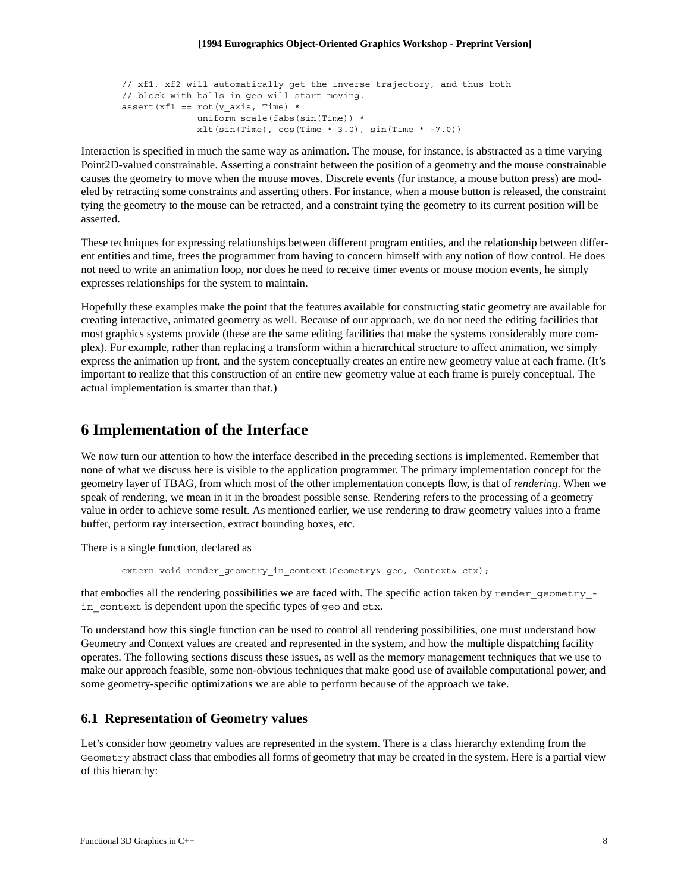```
// xf1, xf2 will automatically get the inverse trajectory, and thus both
// block with balls in geo will start moving.
assert(xf1 == rot(y axis, Time) *uniform scale(fabs(sin(Time)) *
              xlt(sin(Time), cos(Time * 3.0), sin(Time * -7.0))
```
Interaction is specified in much the same way as animation. The mouse, for instance, is abstracted as a time varying Point2D-valued constrainable. Asserting a constraint between the position of a geometry and the mouse constrainable causes the geometry to move when the mouse moves. Discrete events (for instance, a mouse button press) are modeled by retracting some constraints and asserting others. For instance, when a mouse button is released, the constraint tying the geometry to the mouse can be retracted, and a constraint tying the geometry to its current position will be asserted.

These techniques for expressing relationships between different program entities, and the relationship between different entities and time, frees the programmer from having to concern himself with any notion of flow control. He does not need to write an animation loop, nor does he need to receive timer events or mouse motion events, he simply expresses relationships for the system to maintain.

Hopefully these examples make the point that the features available for constructing static geometry are available for creating interactive, animated geometry as well. Because of our approach, we do not need the editing facilities that most graphics systems provide (these are the same editing facilities that make the systems considerably more complex). For example, rather than replacing a transform within a hierarchical structure to affect animation, we simply express the animation up front, and the system conceptually creates an entire new geometry value at each frame. (It's important to realize that this construction of an entire new geometry value at each frame is purely conceptual. The actual implementation is smarter than that.)

#### **6 Implementation of the Interface**

We now turn our attention to how the interface described in the preceding sections is implemented. Remember that none of what we discuss here is visible to the application programmer. The primary implementation concept for the geometry layer of TBAG, from which most of the other implementation concepts flow, is that of *rendering*. When we speak of rendering, we mean in it in the broadest possible sense. Rendering refers to the processing of a geometry value in order to achieve some result. As mentioned earlier, we use rendering to draw geometry values into a frame buffer, perform ray intersection, extract bounding boxes, etc.

There is a single function, declared as

extern void render geometry in context(Geometry& geo, Context& ctx);

that embodies all the rendering possibilities we are faced with. The specific action taken by render geometry in context is dependent upon the specific types of geo and ctx.

To understand how this single function can be used to control all rendering possibilities, one must understand how Geometry and Context values are created and represented in the system, and how the multiple dispatching facility operates. The following sections discuss these issues, as well as the memory management techniques that we use to make our approach feasible, some non-obvious techniques that make good use of available computational power, and some geometry-specific optimizations we are able to perform because of the approach we take.

#### **6.1 Representation of Geometry values**

Let's consider how geometry values are represented in the system. There is a class hierarchy extending from the Geometry abstract class that embodies all forms of geometry that may be created in the system. Here is a partial view of this hierarchy: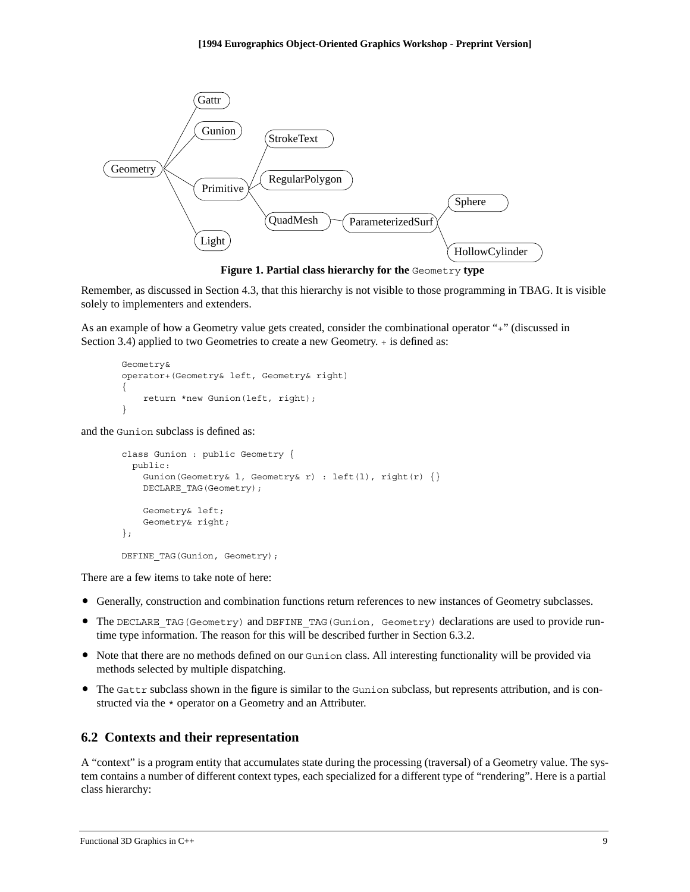

**Figure 1. Partial class hierarchy for the** Geometry **type**

Remember, as discussed in Section 4.3, that this hierarchy is not visible to those programming in TBAG. It is visible solely to implementers and extenders.

As an example of how a Geometry value gets created, consider the combinational operator "+" (discussed in Section 3.4) applied to two Geometries to create a new Geometry. + is defined as:

```
Geometry&
operator+(Geometry& left, Geometry& right)
{
    return *new Gunion(left, right);
}
```
and the Gunion subclass is defined as:

```
class Gunion : public Geometry {
 public:
    Gunion(Geometry& 1, Geometry& r) : left(1), right(r) {}
    DECLARE TAG(Geometry);
    Geometry& left;
    Geometry& right;
};
DEFINE TAG(Gunion, Geometry);
```
There are a few items to take note of here:

- Generally, construction and combination functions return references to new instances of Geometry subclasses.
- The DECLARE TAG(Geometry) and DEFINE TAG(Gunion, Geometry) declarations are used to provide runtime type information. The reason for this will be described further in Section 6.3.2.
- Note that there are no methods defined on our Gunion class. All interesting functionality will be provided via methods selected by multiple dispatching.
- The Gattr subclass shown in the figure is similar to the Gunion subclass, but represents attribution, and is constructed via the \* operator on a Geometry and an Attributer.

#### **6.2 Contexts and their representation**

A "context" is a program entity that accumulates state during the processing (traversal) of a Geometry value. The system contains a number of different context types, each specialized for a different type of "rendering". Here is a partial class hierarchy: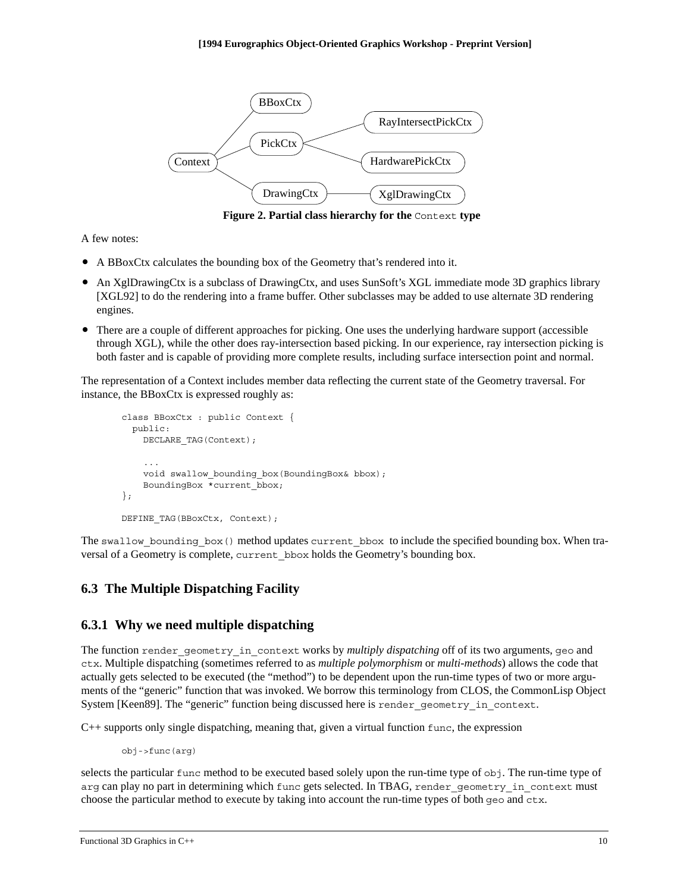

**Figure 2. Partial class hierarchy for the** Context **type**

A few notes:

- **•** A BBoxCtx calculates the bounding box of the Geometry that's rendered into it.
- An XglDrawingCtx is a subclass of DrawingCtx, and uses SunSoft's XGL immediate mode 3D graphics library [XGL92] to do the rendering into a frame buffer. Other subclasses may be added to use alternate 3D rendering engines.
- There are a couple of different approaches for picking. One uses the underlying hardware support (accessible through XGL), while the other does ray-intersection based picking. In our experience, ray intersection picking is both faster and is capable of providing more complete results, including surface intersection point and normal.

The representation of a Context includes member data reflecting the current state of the Geometry traversal. For instance, the BBoxCtx is expressed roughly as:

```
class BBoxCtx : public Context {
 public:
    DECLARE TAG(Context);
    ...
    void swallow bounding box(BoundingBox& bbox);
    BoundingBox *current_bbox;
};
DEFINE TAG(BBoxCtx, Context);
```
The swallow bounding  $box()$  method updates current bbox to include the specified bounding box. When traversal of a Geometry is complete, current\_bbox holds the Geometry's bounding box.

#### **6.3 The Multiple Dispatching Facility**

#### **6.3.1 Why we need multiple dispatching**

The function render geometry in context works by *multiply dispatching* off of its two arguments, geo and ctx. Multiple dispatching (sometimes referred to as *multiple polymorphism* or *multi-methods*) allows the code that actually gets selected to be executed (the "method") to be dependent upon the run-time types of two or more arguments of the "generic" function that was invoked. We borrow this terminology from CLOS, the CommonLisp Object System [Keen89]. The "generic" function being discussed here is render geometry in context.

 $C_{++}$  supports only single dispatching, meaning that, given a virtual function func, the expression

obj->func(arg)

selects the particular func method to be executed based solely upon the run-time type of  $\infty$ . The run-time type of arg can play no part in determining which func gets selected. In TBAG, render geometry in context must choose the particular method to execute by taking into account the run-time types of both geo and ctx.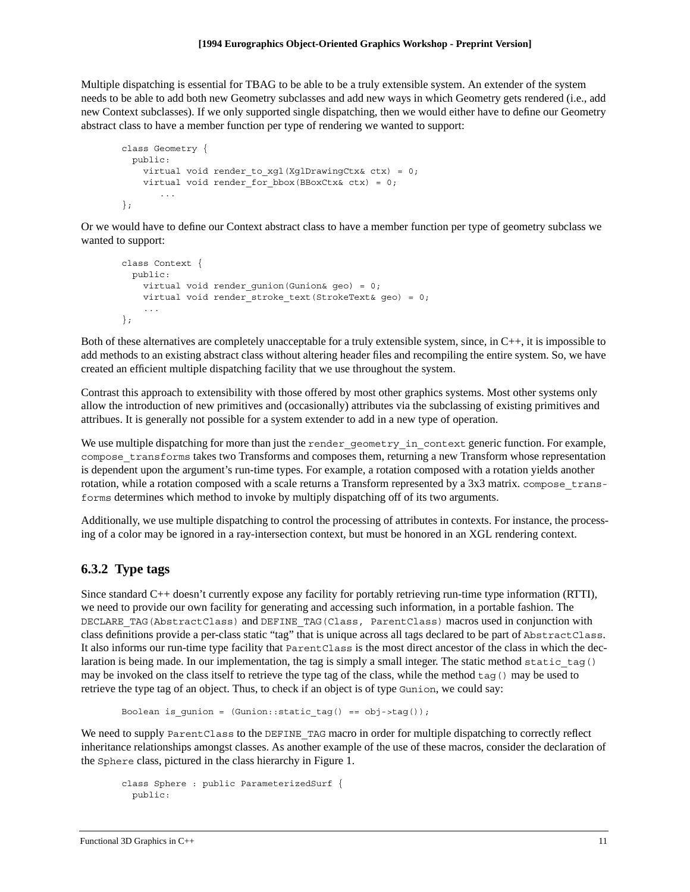Multiple dispatching is essential for TBAG to be able to be a truly extensible system. An extender of the system needs to be able to add both new Geometry subclasses and add new ways in which Geometry gets rendered (i.e., add new Context subclasses). If we only supported single dispatching, then we would either have to define our Geometry abstract class to have a member function per type of rendering we wanted to support:

```
class Geometry {
 public:
    virtual void render to xgl(XglDrawingCtx& ctx) = 0;
    virtual void render for bbox(BBoxCtx& ctx) = 0;
       ...
};
```
Or we would have to define our Context abstract class to have a member function per type of geometry subclass we wanted to support:

```
class Context {
 public:
   virtual void render gunion(Gunion& geo) = 0;virtual void render stroke text(StrokeText& geo) = 0;
    ...
};
```
Both of these alternatives are completely unacceptable for a truly extensible system, since, in C++, it is impossible to add methods to an existing abstract class without altering header files and recompiling the entire system. So, we have created an efficient multiple dispatching facility that we use throughout the system.

Contrast this approach to extensibility with those offered by most other graphics systems. Most other systems only allow the introduction of new primitives and (occasionally) attributes via the subclassing of existing primitives and attribues. It is generally not possible for a system extender to add in a new type of operation.

We use multiple dispatching for more than just the render geometry in context generic function. For example, compose\_transforms takes two Transforms and composes them, returning a new Transform whose representation is dependent upon the argument's run-time types. For example, a rotation composed with a rotation yields another rotation, while a rotation composed with a scale returns a Transform represented by a 3x3 matrix. compose transforms determines which method to invoke by multiply dispatching off of its two arguments.

Additionally, we use multiple dispatching to control the processing of attributes in contexts. For instance, the processing of a color may be ignored in a ray-intersection context, but must be honored in an XGL rendering context.

#### **6.3.2 Type tags**

Since standard C++ doesn't currently expose any facility for portably retrieving run-time type information (RTTI), we need to provide our own facility for generating and accessing such information, in a portable fashion. The DECLARE TAG(AbstractClass) and DEFINE TAG(Class, ParentClass) macros used in conjunction with class definitions provide a per-class static "tag" that is unique across all tags declared to be part of AbstractClass. It also informs our run-time type facility that ParentClass is the most direct ancestor of the class in which the declaration is being made. In our implementation, the tag is simply a small integer. The static method static\_tag() may be invoked on the class itself to retrieve the type tag of the class, while the method  $\text{tag}$  () may be used to retrieve the type tag of an object. Thus, to check if an object is of type Gunion, we could say:

Boolean is gunion = (Gunion::static tag() ==  $obj$ ->tag());

We need to supply Parent Class to the DEFINE TAG macro in order for multiple dispatching to correctly reflect inheritance relationships amongst classes. As another example of the use of these macros, consider the declaration of the Sphere class, pictured in the class hierarchy in Figure 1.

```
class Sphere : public ParameterizedSurf {
 public:
```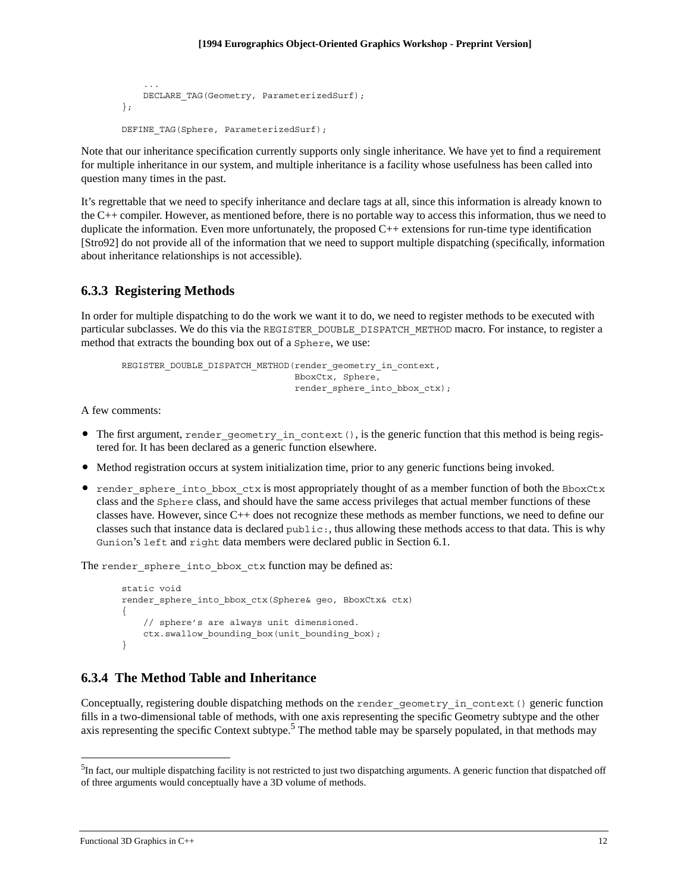```
DECLARE TAG(Geometry, ParameterizedSurf);
};
DEFINE TAG(Sphere, ParameterizedSurf);
```
Note that our inheritance specification currently supports only single inheritance. We have yet to find a requirement for multiple inheritance in our system, and multiple inheritance is a facility whose usefulness has been called into question many times in the past.

It's regrettable that we need to specify inheritance and declare tags at all, since this information is already known to the C++ compiler. However, as mentioned before, there is no portable way to access this information, thus we need to duplicate the information. Even more unfortunately, the proposed  $C++$  extensions for run-time type identification [Stro92] do not provide all of the information that we need to support multiple dispatching (specifically, information about inheritance relationships is not accessible).

#### **6.3.3 Registering Methods**

In order for multiple dispatching to do the work we want it to do, we need to register methods to be executed with particular subclasses. We do this via the REGISTER\_DOUBLE\_DISPATCH\_METHOD macro. For instance, to register a method that extracts the bounding box out of a Sphere, we use:

```
REGISTER_DOUBLE_DISPATCH_METHOD(render_geometry_in_context,
                                BboxCtx, Sphere,
                                render sphere into bbox ctx);
```
A few comments:

- The first argument, render geometry in context(), is the generic function that this method is being registered for. It has been declared as a generic function elsewhere.
- Method registration occurs at system initialization time, prior to any generic functions being invoked.
- render sphere into bbox ctx is most appropriately thought of as a member function of both the BboxCtx class and the Sphere class, and should have the same access privileges that actual member functions of these classes have. However, since C++ does not recognize these methods as member functions, we need to define our classes such that instance data is declared public:, thus allowing these methods access to that data. This is why Gunion's left and right data members were declared public in Section 6.1.

The render sphere into bbox ctx function may be defined as:

```
static void
render sphere into bbox ctx(Sphere& geo, BboxCtx& ctx)
{
   // sphere's are always unit dimensioned.
   ctx.swallow_bounding_box(unit_bounding_box);
}
```
#### **6.3.4 The Method Table and Inheritance**

Conceptually, registering double dispatching methods on the render geometry in context() generic function fills in a two-dimensional table of methods, with one axis representing the specific Geometry subtype and the other axis representing the specific Context subtype.<sup>5</sup> The method table may be sparsely populated, in that methods may

 ${}^{5}$ In fact, our multiple dispatching facility is not restricted to just two dispatching arguments. A generic function that dispatched off of three arguments would conceptually have a 3D volume of methods.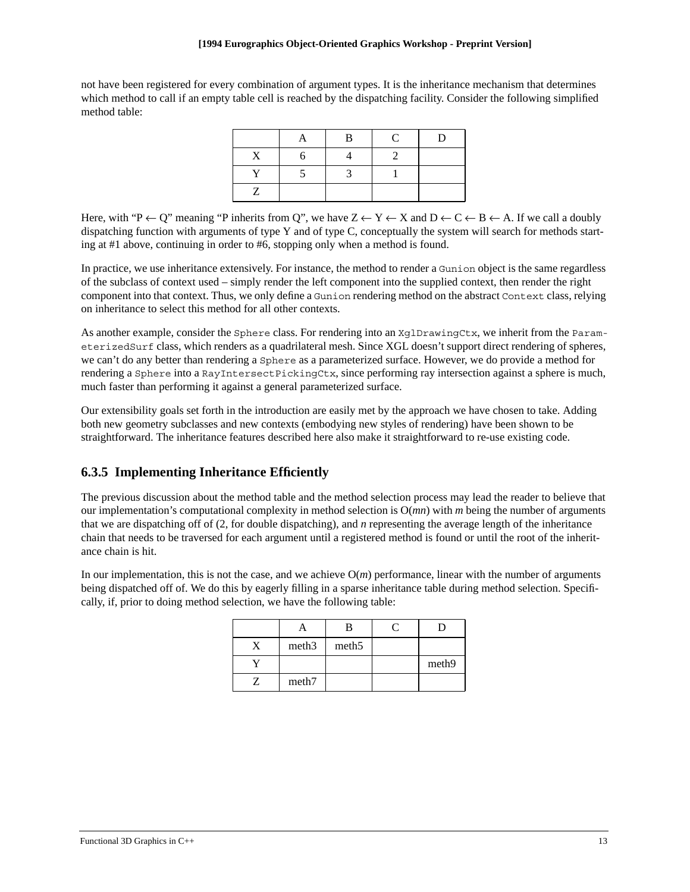not have been registered for every combination of argument types. It is the inheritance mechanism that determines which method to call if an empty table cell is reached by the dispatching facility. Consider the following simplified method table:

|            | R. | $\mathbf{C}$ |  |
|------------|----|--------------|--|
|            |    |              |  |
| <b>x</b> r |    |              |  |
|            |    |              |  |

Here, with "P  $\leftarrow$  Q" meaning "P inherits from Q", we have  $Z \leftarrow Y \leftarrow X$  and  $D \leftarrow C \leftarrow B \leftarrow A$ . If we call a doubly dispatching function with arguments of type Y and of type C, conceptually the system will search for methods starting at #1 above, continuing in order to #6, stopping only when a method is found.

In practice, we use inheritance extensively. For instance, the method to render a Gunion object is the same regardless of the subclass of context used – simply render the left component into the supplied context, then render the right component into that context. Thus, we only define a Gunion rendering method on the abstract Context class, relying on inheritance to select this method for all other contexts.

As another example, consider the Sphere class. For rendering into an XglDrawingCtx, we inherit from the ParameterizedSurf class, which renders as a quadrilateral mesh. Since XGL doesn't support direct rendering of spheres, we can't do any better than rendering a Sphere as a parameterized surface. However, we do provide a method for rendering a Sphere into a RayIntersectPickingCtx, since performing ray intersection against a sphere is much, much faster than performing it against a general parameterized surface.

Our extensibility goals set forth in the introduction are easily met by the approach we have chosen to take. Adding both new geometry subclasses and new contexts (embodying new styles of rendering) have been shown to be straightforward. The inheritance features described here also make it straightforward to re-use existing code.

#### **6.3.5 Implementing Inheritance Efficiently**

The previous discussion about the method table and the method selection process may lead the reader to believe that our implementation's computational complexity in method selection is O(*mn*) with *m* being the number of arguments that we are dispatching off of (2, for double dispatching), and *n* representing the average length of the inheritance chain that needs to be traversed for each argument until a registered method is found or until the root of the inheritance chain is hit.

In our implementation, this is not the case, and we achieve O(*m*) performance, linear with the number of arguments being dispatched off of. We do this by eagerly filling in a sparse inheritance table during method selection. Specifically, if, prior to doing method selection, we have the following table:

| meth <sub>3</sub> | meth <sub>5</sub> |       |
|-------------------|-------------------|-------|
|                   |                   | meth9 |
| meth7             |                   |       |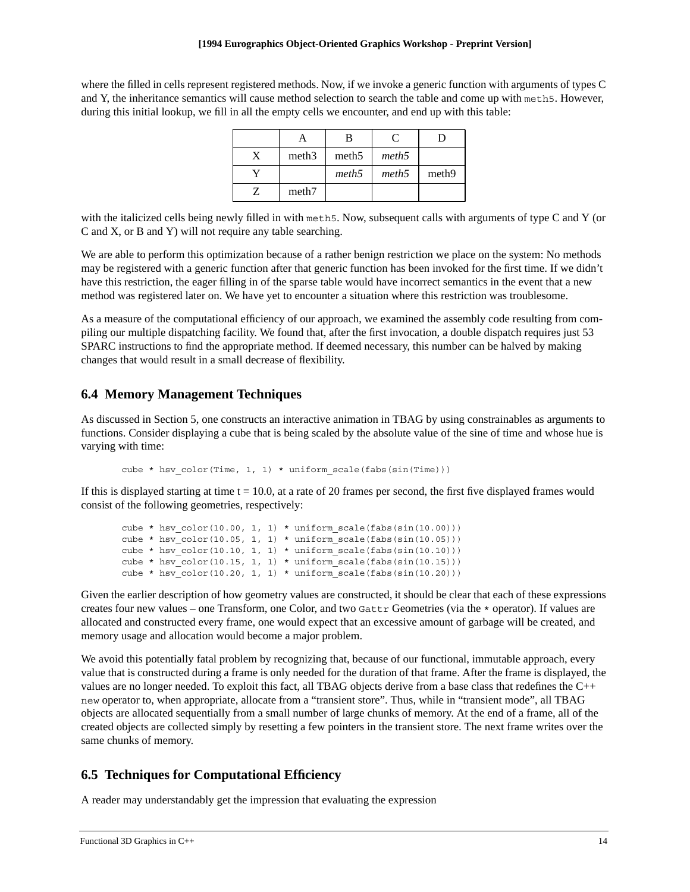where the filled in cells represent registered methods. Now, if we invoke a generic function with arguments of types C and Y, the inheritance semantics will cause method selection to search the table and come up with meth5. However, during this initial lookup, we fill in all the empty cells we encounter, and end up with this table:

|               | meth <sub>3</sub> | meth <sub>5</sub> | meth <sub>5</sub> |       |
|---------------|-------------------|-------------------|-------------------|-------|
|               |                   | meth <sub>5</sub> | meth <sub>5</sub> | meth9 |
| $\mathcal{L}$ | meth7             |                   |                   |       |

with the italicized cells being newly filled in with meth5. Now, subsequent calls with arguments of type C and Y (or C and X, or B and Y) will not require any table searching.

We are able to perform this optimization because of a rather benign restriction we place on the system: No methods may be registered with a generic function after that generic function has been invoked for the first time. If we didn't have this restriction, the eager filling in of the sparse table would have incorrect semantics in the event that a new method was registered later on. We have yet to encounter a situation where this restriction was troublesome.

As a measure of the computational efficiency of our approach, we examined the assembly code resulting from compiling our multiple dispatching facility. We found that, after the first invocation, a double dispatch requires just 53 SPARC instructions to find the appropriate method. If deemed necessary, this number can be halved by making changes that would result in a small decrease of flexibility.

#### **6.4 Memory Management Techniques**

As discussed in Section 5, one constructs an interactive animation in TBAG by using constrainables as arguments to functions. Consider displaying a cube that is being scaled by the absolute value of the sine of time and whose hue is varying with time:

```
cube * hsv color(Time, 1, 1) * uniform scale(fabs(sin(Time)))
```
If this is displayed starting at time  $t = 10.0$ , at a rate of 20 frames per second, the first five displayed frames would consist of the following geometries, respectively:

```
cube * hsv color(10.00, 1, 1) * uniform scale(fabs(sin(10.00)))
cube * hsv color(10.05, 1, 1) * uniform scale(fabs(sin(10.05)))
cube * hsv_color(10.10, 1, 1) * uniform_scale(fabs(sin(10.10)))
cube * hsv color(10.15, 1, 1) * uniform scale(fabs(sin(10.15)))
cube * hsv color(10.20, 1, 1) * uniform scale(fabs(sin(10.20)))
```
Given the earlier description of how geometry values are constructed, it should be clear that each of these expressions creates four new values – one Transform, one Color, and two Gattr Geometries (via the \* operator). If values are allocated and constructed every frame, one would expect that an excessive amount of garbage will be created, and memory usage and allocation would become a major problem.

We avoid this potentially fatal problem by recognizing that, because of our functional, immutable approach, every value that is constructed during a frame is only needed for the duration of that frame. After the frame is displayed, the values are no longer needed. To exploit this fact, all TBAG objects derive from a base class that redefines the C++ new operator to, when appropriate, allocate from a "transient store". Thus, while in "transient mode", all TBAG objects are allocated sequentially from a small number of large chunks of memory. At the end of a frame, all of the created objects are collected simply by resetting a few pointers in the transient store. The next frame writes over the same chunks of memory.

#### **6.5 Techniques for Computational Efficiency**

A reader may understandably get the impression that evaluating the expression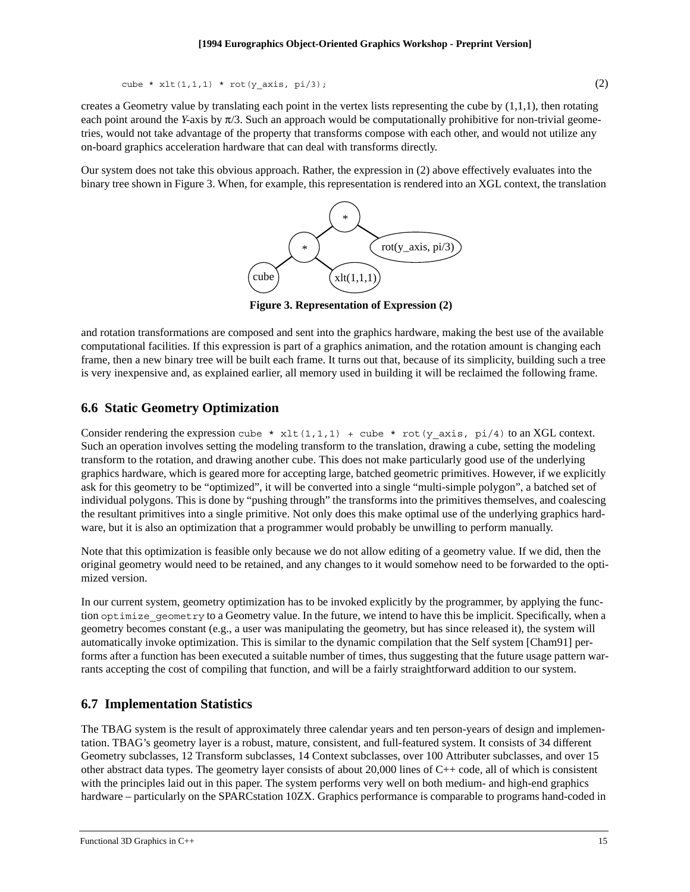cube \* xlt(1,1,1) \* rot(y axis, pi/3); (2)

creates a Geometry value by translating each point in the vertex lists representing the cube by  $(1,1,1)$ , then rotating each point around the *Y*-axis by  $\pi/3$ . Such an approach would be computationally prohibitive for non-trivial geometries, would not take advantage of the property that transforms compose with each other, and would not utilize any on-board graphics acceleration hardware that can deal with transforms directly.

Our system does not take this obvious approach. Rather, the expression in (2) above effectively evaluates into the binary tree shown in Figure 3. When, for example, this representation is rendered into an XGL context, the translation



**Figure 3. Representation of Expression (2)**

and rotation transformations are composed and sent into the graphics hardware, making the best use of the available computational facilities. If this expression is part of a graphics animation, and the rotation amount is changing each frame, then a new binary tree will be built each frame. It turns out that, because of its simplicity, building such a tree is very inexpensive and, as explained earlier, all memory used in building it will be reclaimed the following frame.

#### **6.6 Static Geometry Optimization**

Consider rendering the expression cube \*  $xlt(1,1,1)$  + cube \*  $rot(y axis, pi/4)$  to an XGL context. Such an operation involves setting the modeling transform to the translation, drawing a cube, setting the modeling transform to the rotation, and drawing another cube. This does not make particularly good use of the underlying graphics hardware, which is geared more for accepting large, batched geometric primitives. However, if we explicitly ask for this geometry to be "optimized", it will be converted into a single "multi-simple polygon", a batched set of individual polygons. This is done by "pushing through" the transforms into the primitives themselves, and coalescing the resultant primitives into a single primitive. Not only does this make optimal use of the underlying graphics hardware, but it is also an optimization that a programmer would probably be unwilling to perform manually.

Note that this optimization is feasible only because we do not allow editing of a geometry value. If we did, then the original geometry would need to be retained, and any changes to it would somehow need to be forwarded to the optimized version.

In our current system, geometry optimization has to be invoked explicitly by the programmer, by applying the function optimize geometry to a Geometry value. In the future, we intend to have this be implicit. Specifically, when a geometry becomes constant (e.g., a user was manipulating the geometry, but has since released it), the system will automatically invoke optimization. This is similar to the dynamic compilation that the Self system [Cham91] performs after a function has been executed a suitable number of times, thus suggesting that the future usage pattern warrants accepting the cost of compiling that function, and will be a fairly straightforward addition to our system.

#### **6.7 Implementation Statistics**

The TBAG system is the result of approximately three calendar years and ten person-years of design and implementation. TBAG's geometry layer is a robust, mature, consistent, and full-featured system. It consists of 34 different Geometry subclasses, 12 Transform subclasses, 14 Context subclasses, over 100 Attributer subclasses, and over 15 other abstract data types. The geometry layer consists of about 20,000 lines of  $C++$  code, all of which is consistent with the principles laid out in this paper. The system performs very well on both medium- and high-end graphics hardware – particularly on the SPARCstation 10ZX. Graphics performance is comparable to programs hand-coded in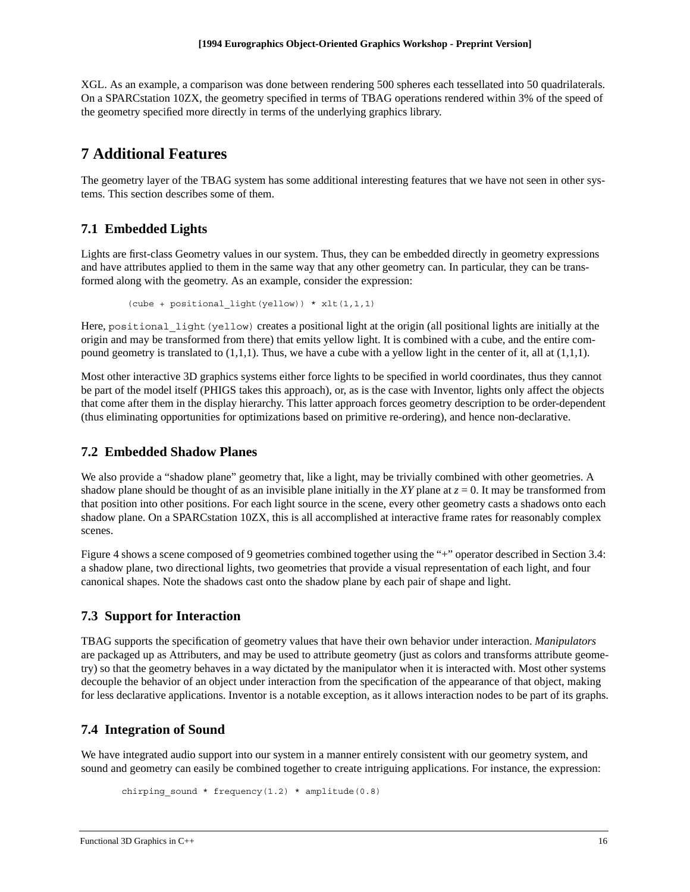XGL. As an example, a comparison was done between rendering 500 spheres each tessellated into 50 quadrilaterals. On a SPARCstation 10ZX, the geometry specified in terms of TBAG operations rendered within 3% of the speed of the geometry specified more directly in terms of the underlying graphics library.

# **7 Additional Features**

The geometry layer of the TBAG system has some additional interesting features that we have not seen in other systems. This section describes some of them.

#### **7.1 Embedded Lights**

Lights are first-class Geometry values in our system. Thus, they can be embedded directly in geometry expressions and have attributes applied to them in the same way that any other geometry can. In particular, they can be transformed along with the geometry. As an example, consider the expression:

```
(cube + positional light(yellow)) * xlt(1,1,1)
```
Here, positional\_light(yellow) creates a positional light at the origin (all positional lights are initially at the origin and may be transformed from there) that emits yellow light. It is combined with a cube, and the entire compound geometry is translated to  $(1,1,1)$ . Thus, we have a cube with a yellow light in the center of it, all at  $(1,1,1)$ .

Most other interactive 3D graphics systems either force lights to be specified in world coordinates, thus they cannot be part of the model itself (PHIGS takes this approach), or, as is the case with Inventor, lights only affect the objects that come after them in the display hierarchy. This latter approach forces geometry description to be order-dependent (thus eliminating opportunities for optimizations based on primitive re-ordering), and hence non-declarative.

#### **7.2 Embedded Shadow Planes**

We also provide a "shadow plane" geometry that, like a light, may be trivially combined with other geometries. A shadow plane should be thought of as an invisible plane initially in the *XY* plane at  $z = 0$ . It may be transformed from that position into other positions. For each light source in the scene, every other geometry casts a shadows onto each shadow plane. On a SPARCstation 10ZX, this is all accomplished at interactive frame rates for reasonably complex scenes.

Figure 4 shows a scene composed of 9 geometries combined together using the "+" operator described in Section 3.4: a shadow plane, two directional lights, two geometries that provide a visual representation of each light, and four canonical shapes. Note the shadows cast onto the shadow plane by each pair of shape and light.

#### **7.3 Support for Interaction**

TBAG supports the specification of geometry values that have their own behavior under interaction. *Manipulators* are packaged up as Attributers, and may be used to attribute geometry (just as colors and transforms attribute geometry) so that the geometry behaves in a way dictated by the manipulator when it is interacted with. Most other systems decouple the behavior of an object under interaction from the specification of the appearance of that object, making for less declarative applications. Inventor is a notable exception, as it allows interaction nodes to be part of its graphs.

#### **7.4 Integration of Sound**

We have integrated audio support into our system in a manner entirely consistent with our geometry system, and sound and geometry can easily be combined together to create intriguing applications. For instance, the expression:

```
chirping sound * frequency(1.2) * amplitude(0.8)
```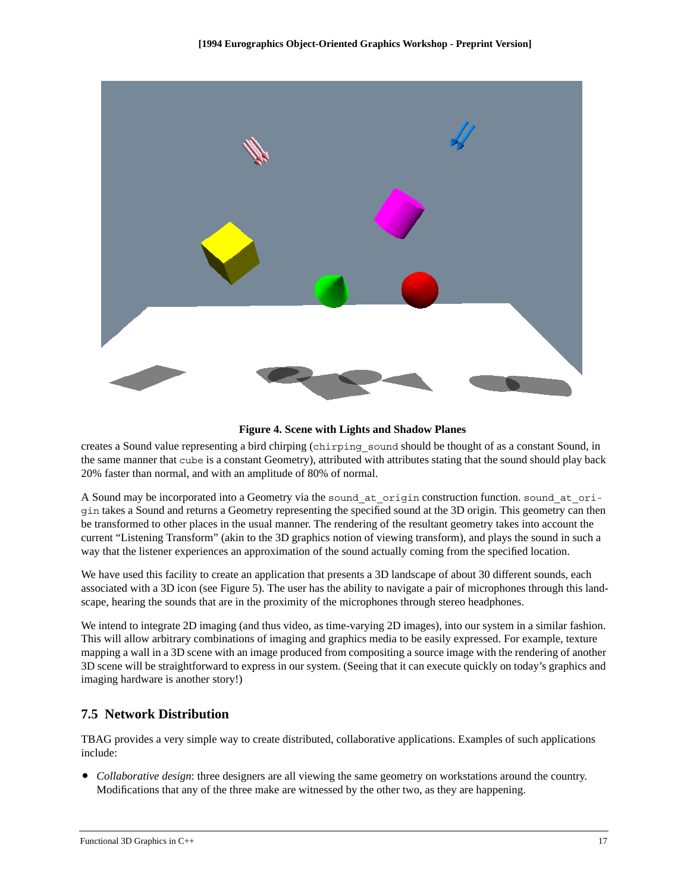

**Figure 4. Scene with Lights and Shadow Planes**

creates a Sound value representing a bird chirping (chirping\_sound should be thought of as a constant Sound, in the same manner that cube is a constant Geometry), attributed with attributes stating that the sound should play back 20% faster than normal, and with an amplitude of 80% of normal.

A Sound may be incorporated into a Geometry via the sound\_at\_origin construction function. sound\_at\_origin takes a Sound and returns a Geometry representing the specified sound at the 3D origin. This geometry can then be transformed to other places in the usual manner. The rendering of the resultant geometry takes into account the current "Listening Transform" (akin to the 3D graphics notion of viewing transform), and plays the sound in such a way that the listener experiences an approximation of the sound actually coming from the specified location.

We have used this facility to create an application that presents a 3D landscape of about 30 different sounds, each associated with a 3D icon (see Figure 5). The user has the ability to navigate a pair of microphones through this landscape, hearing the sounds that are in the proximity of the microphones through stereo headphones.

We intend to integrate 2D imaging (and thus video, as time-varying 2D images), into our system in a similar fashion. This will allow arbitrary combinations of imaging and graphics media to be easily expressed. For example, texture mapping a wall in a 3D scene with an image produced from compositing a source image with the rendering of another 3D scene will be straightforward to express in our system. (Seeing that it can execute quickly on today's graphics and imaging hardware is another story!)

#### **7.5 Network Distribution**

TBAG provides a very simple way to create distributed, collaborative applications. Examples of such applications include:

**•** *Collaborative design*: three designers are all viewing the same geometry on workstations around the country. Modifications that any of the three make are witnessed by the other two, as they are happening.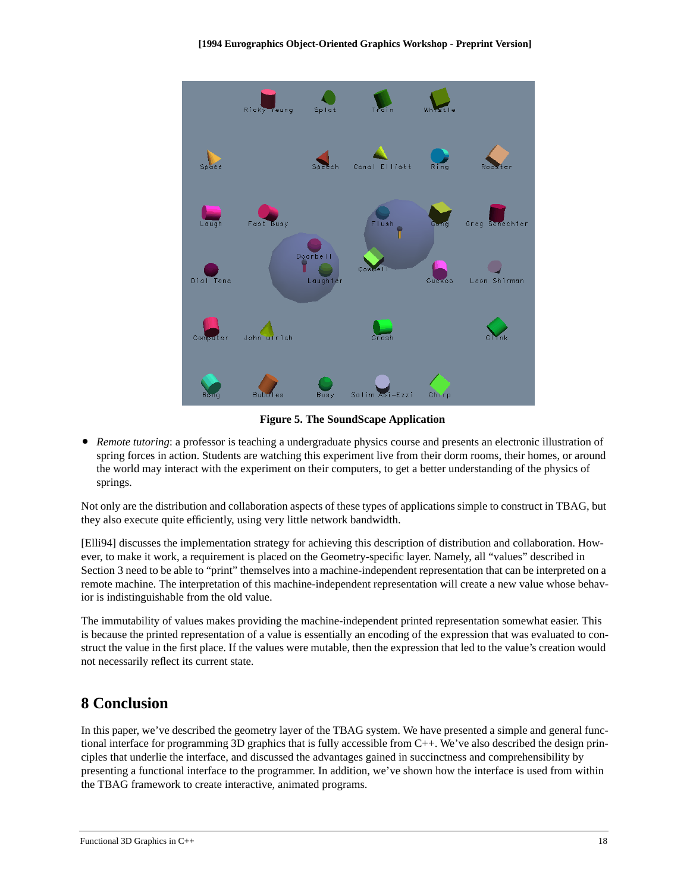

**Figure 5. The SoundScape Application**

**•** *Remote tutoring*: a professor is teaching a undergraduate physics course and presents an electronic illustration of spring forces in action. Students are watching this experiment live from their dorm rooms, their homes, or around the world may interact with the experiment on their computers, to get a better understanding of the physics of springs.

Not only are the distribution and collaboration aspects of these types of applications simple to construct in TBAG, but they also execute quite efficiently, using very little network bandwidth.

[Elli94] discusses the implementation strategy for achieving this description of distribution and collaboration. However, to make it work, a requirement is placed on the Geometry-specific layer. Namely, all "values" described in Section 3 need to be able to "print" themselves into a machine-independent representation that can be interpreted on a remote machine. The interpretation of this machine-independent representation will create a new value whose behavior is indistinguishable from the old value.

The immutability of values makes providing the machine-independent printed representation somewhat easier. This is because the printed representation of a value is essentially an encoding of the expression that was evaluated to construct the value in the first place. If the values were mutable, then the expression that led to the value's creation would not necessarily reflect its current state.

## **8 Conclusion**

In this paper, we've described the geometry layer of the TBAG system. We have presented a simple and general functional interface for programming 3D graphics that is fully accessible from C++. We've also described the design principles that underlie the interface, and discussed the advantages gained in succinctness and comprehensibility by presenting a functional interface to the programmer. In addition, we've shown how the interface is used from within the TBAG framework to create interactive, animated programs.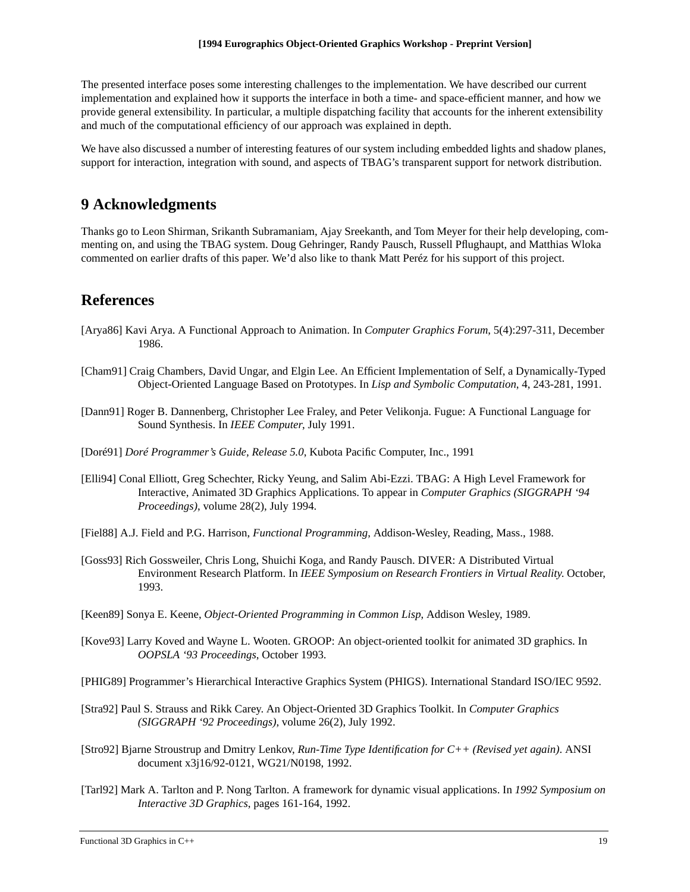The presented interface poses some interesting challenges to the implementation. We have described our current implementation and explained how it supports the interface in both a time- and space-efficient manner, and how we provide general extensibility. In particular, a multiple dispatching facility that accounts for the inherent extensibility and much of the computational efficiency of our approach was explained in depth.

We have also discussed a number of interesting features of our system including embedded lights and shadow planes, support for interaction, integration with sound, and aspects of TBAG's transparent support for network distribution.

## **9 Acknowledgments**

Thanks go to Leon Shirman, Srikanth Subramaniam, Ajay Sreekanth, and Tom Meyer for their help developing, commenting on, and using the TBAG system. Doug Gehringer, Randy Pausch, Russell Pflughaupt, and Matthias Wloka commented on earlier drafts of this paper. We'd also like to thank Matt Peréz for his support of this project.

## **References**

- [Arya86] Kavi Arya. A Functional Approach to Animation. In *Computer Graphics Forum*, 5(4):297-311, December 1986.
- [Cham91] Craig Chambers, David Ungar, and Elgin Lee. An Efficient Implementation of Self, a Dynamically-Typed Object-Oriented Language Based on Prototypes. In *Lisp and Symbolic Computation*, 4, 243-281, 1991.
- [Dann91] Roger B. Dannenberg, Christopher Lee Fraley, and Peter Velikonja. Fugue: A Functional Language for Sound Synthesis. In *IEEE Computer*, July 1991.
- [Doré91] *Doré Programmer's Guide, Release 5.0*, Kubota Pacific Computer, Inc., 1991
- [Elli94] Conal Elliott, Greg Schechter, Ricky Yeung, and Salim Abi-Ezzi. TBAG: A High Level Framework for Interactive, Animated 3D Graphics Applications. To appear in *Computer Graphics (SIGGRAPH '94 Proceedings)*, volume 28(2), July 1994.
- [Fiel88] A.J. Field and P.G. Harrison, *Functional Programming*, Addison-Wesley, Reading, Mass., 1988.
- [Goss93] Rich Gossweiler, Chris Long, Shuichi Koga, and Randy Pausch. DIVER: A Distributed Virtual Environment Research Platform. In *IEEE Symposium on Research Frontiers in Virtual Reality*. October, 1993.
- [Keen89] Sonya E. Keene, *Object-Oriented Programming in Common Lisp*, Addison Wesley, 1989.
- [Kove93] Larry Koved and Wayne L. Wooten. GROOP: An object-oriented toolkit for animated 3D graphics. In *OOPSLA '93 Proceedings*, October 1993.
- [PHIG89] Programmer's Hierarchical Interactive Graphics System (PHIGS). International Standard ISO/IEC 9592.
- [Stra92] Paul S. Strauss and Rikk Carey. An Object-Oriented 3D Graphics Toolkit. In *Computer Graphics (SIGGRAPH '92 Proceedings)*, volume 26(2), July 1992.
- [Stro92] Bjarne Stroustrup and Dmitry Lenkov, *Run-Time Type Identification for C++ (Revised yet again)*. ANSI document x3j16/92-0121, WG21/N0198, 1992.
- [Tarl92] Mark A. Tarlton and P. Nong Tarlton. A framework for dynamic visual applications. In *1992 Symposium on Interactive 3D Graphics*, pages 161-164, 1992.